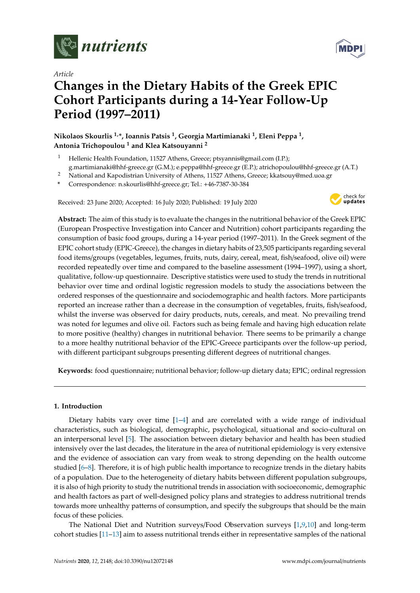

*Article*

# **Changes in the Dietary Habits of the Greek EPIC Cohort Participants during a 14-Year Follow-Up Period (1997–2011)**

**Nikolaos Skourlis 1,\*, Ioannis Patsis <sup>1</sup> , Georgia Martimianaki <sup>1</sup> , Eleni Peppa <sup>1</sup> , Antonia Trichopoulou <sup>1</sup> and Klea Katsouyanni <sup>2</sup>**

- <sup>1</sup> Hellenic Health Foundation, 11527 Athens, Greece; ptsyannis@gmail.com (I.P.); g.martimianaki@hhf-greece.gr (G.M.); e.peppa@hhf-greece.gr (E.P.); atrichopoulou@hhf-greece.gr (A.T.)
- <sup>2</sup> National and Kapodistrian University of Athens, 11527 Athens, Greece; kkatsouy@med.uoa.gr
- **\*** Correspondence: n.skourlis@hhf-greece.gr; Tel.: +46-7387-30-384

Received: 23 June 2020; Accepted: 16 July 2020; Published: 19 July 2020



**Abstract:** The aim of this study is to evaluate the changes in the nutritional behavior of the Greek EPIC (European Prospective Investigation into Cancer and Nutrition) cohort participants regarding the consumption of basic food groups, during a 14-year period (1997–2011). In the Greek segment of the EPIC cohort study (EPIC-Greece), the changes in dietary habits of 23,505 participants regarding several food items/groups (vegetables, legumes, fruits, nuts, dairy, cereal, meat, fish/seafood, olive oil) were recorded repeatedly over time and compared to the baseline assessment (1994–1997), using a short, qualitative, follow-up questionnaire. Descriptive statistics were used to study the trends in nutritional behavior over time and ordinal logistic regression models to study the associations between the ordered responses of the questionnaire and sociodemographic and health factors. More participants reported an increase rather than a decrease in the consumption of vegetables, fruits, fish/seafood, whilst the inverse was observed for dairy products, nuts, cereals, and meat. No prevailing trend was noted for legumes and olive oil. Factors such as being female and having high education relate to more positive (healthy) changes in nutritional behavior. There seems to be primarily a change to a more healthy nutritional behavior of the EPIC-Greece participants over the follow-up period, with different participant subgroups presenting different degrees of nutritional changes.

**Keywords:** food questionnaire; nutritional behavior; follow-up dietary data; EPIC; ordinal regression

## **1. Introduction**

Dietary habits vary over time  $[1-4]$  $[1-4]$  and are correlated with a wide range of individual characteristics, such as biological, demographic, psychological, situational and socio-cultural on an interpersonal level [\[5\]](#page-10-2). The association between dietary behavior and health has been studied intensively over the last decades, the literature in the area of nutritional epidemiology is very extensive and the evidence of association can vary from weak to strong depending on the health outcome studied [\[6–](#page-10-3)[8\]](#page-10-4). Therefore, it is of high public health importance to recognize trends in the dietary habits of a population. Due to the heterogeneity of dietary habits between different population subgroups, it is also of high priority to study the nutritional trends in association with socioeconomic, demographic and health factors as part of well-designed policy plans and strategies to address nutritional trends towards more unhealthy patterns of consumption, and specify the subgroups that should be the main focus of these policies.

The National Diet and Nutrition surveys/Food Observation surveys [\[1](#page-10-0)[,9](#page-10-5)[,10\]](#page-10-6) and long-term cohort studies [\[11](#page-10-7)[–13\]](#page-10-8) aim to assess nutritional trends either in representative samples of the national

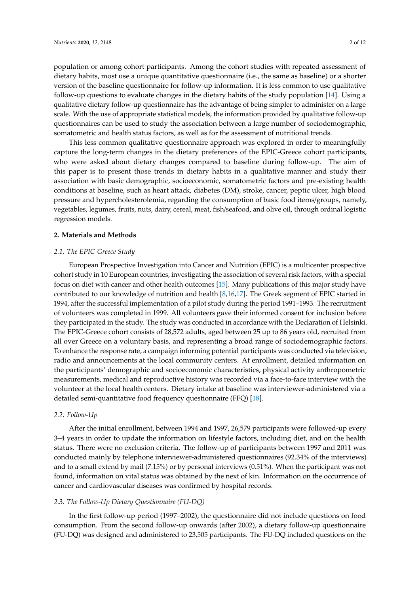population or among cohort participants. Among the cohort studies with repeated assessment of dietary habits, most use a unique quantitative questionnaire (i.e., the same as baseline) or a shorter version of the baseline questionnaire for follow-up information. It is less common to use qualitative follow-up questions to evaluate changes in the dietary habits of the study population [\[14\]](#page-10-9). Using a qualitative dietary follow-up questionnaire has the advantage of being simpler to administer on a large scale. With the use of appropriate statistical models, the information provided by qualitative follow-up questionnaires can be used to study the association between a large number of sociodemographic, somatometric and health status factors, as well as for the assessment of nutritional trends.

This less common qualitative questionnaire approach was explored in order to meaningfully capture the long-term changes in the dietary preferences of the EPIC-Greece cohort participants, who were asked about dietary changes compared to baseline during follow-up. The aim of this paper is to present those trends in dietary habits in a qualitative manner and study their association with basic demographic, socioeconomic, somatometric factors and pre-existing health conditions at baseline, such as heart attack, diabetes (DM), stroke, cancer, peptic ulcer, high blood pressure and hypercholesterolemia, regarding the consumption of basic food items/groups, namely, vegetables, legumes, fruits, nuts, dairy, cereal, meat, fish/seafood, and olive oil, through ordinal logistic regression models.

## **2. Materials and Methods**

## *2.1. The EPIC-Greece Study*

European Prospective Investigation into Cancer and Nutrition (EPIC) is a multicenter prospective cohort study in 10 European countries, investigating the association of several risk factors, with a special focus on diet with cancer and other health outcomes [\[15\]](#page-11-0). Many publications of this major study have contributed to our knowledge of nutrition and health [\[8,](#page-10-4)[16](#page-11-1)[,17\]](#page-11-2). The Greek segment of EPIC started in 1994, after the successful implementation of a pilot study during the period 1991–1993. The recruitment of volunteers was completed in 1999. All volunteers gave their informed consent for inclusion before they participated in the study. The study was conducted in accordance with the Declaration of Helsinki. The EPIC-Greece cohort consists of 28,572 adults, aged between 25 up to 86 years old, recruited from all over Greece on a voluntary basis, and representing a broad range of sociodemographic factors. To enhance the response rate, a campaign informing potential participants was conducted via television, radio and announcements at the local community centers. At enrollment, detailed information on the participants' demographic and socioeconomic characteristics, physical activity anthropometric measurements, medical and reproductive history was recorded via a face-to-face interview with the volunteer at the local health centers. Dietary intake at baseline was interviewer-administered via a detailed semi-quantitative food frequency questionnaire (FFQ) [\[18\]](#page-11-3).

### *2.2. Follow-Up*

After the initial enrollment, between 1994 and 1997, 26,579 participants were followed-up every 3–4 years in order to update the information on lifestyle factors, including diet, and on the health status. There were no exclusion criteria. The follow-up of participants between 1997 and 2011 was conducted mainly by telephone interviewer-administered questionnaires (92.34% of the interviews) and to a small extend by mail (7.15%) or by personal interviews (0.51%). When the participant was not found, information on vital status was obtained by the next of kin. Information on the occurrence of cancer and cardiovascular diseases was confirmed by hospital records.

#### *2.3. The Follow-Up Dietary Questionnaire (FU-DQ)*

In the first follow-up period (1997–2002), the questionnaire did not include questions on food consumption. From the second follow-up onwards (after 2002), a dietary follow-up questionnaire (FU-DQ) was designed and administered to 23,505 participants. The FU-DQ included questions on the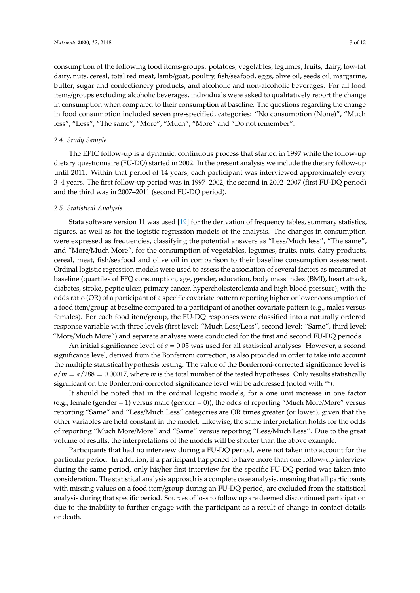consumption of the following food items/groups: potatoes, vegetables, legumes, fruits, dairy, low-fat dairy, nuts, cereal, total red meat, lamb/goat, poultry, fish/seafood, eggs, olive oil, seeds oil, margarine, butter, sugar and confectionery products, and alcoholic and non-alcoholic beverages. For all food items/groups excluding alcoholic beverages, individuals were asked to qualitatively report the change in consumption when compared to their consumption at baseline. The questions regarding the change in food consumption included seven pre-specified, categories: "No consumption (None)", "Much less", "Less", "The same", "More", "Much", "More" and "Do not remember".

#### *2.4. Study Sample*

The EPIC follow-up is a dynamic, continuous process that started in 1997 while the follow-up dietary questionnaire (FU-DQ) started in 2002. In the present analysis we include the dietary follow-up until 2011. Within that period of 14 years, each participant was interviewed approximately every 3–4 years. The first follow-up period was in 1997–2002, the second in 2002–2007 (first FU-DQ period) and the third was in 2007–2011 (second FU-DQ period).

#### *2.5. Statistical Analysis*

Stata software version 11 was used [\[19\]](#page-11-4) for the derivation of frequency tables, summary statistics, figures, as well as for the logistic regression models of the analysis. The changes in consumption were expressed as frequencies, classifying the potential answers as "Less/Much less", "The same", and "More/Much More", for the consumption of vegetables, legumes, fruits, nuts, dairy products, cereal, meat, fish/seafood and olive oil in comparison to their baseline consumption assessment. Ordinal logistic regression models were used to assess the association of several factors as measured at baseline (quartiles of FFQ consumption, age, gender, education, body mass index (BMI), heart attack, diabetes, stroke, peptic ulcer, primary cancer, hypercholesterolemia and high blood pressure), with the odds ratio (OR) of a participant of a specific covariate pattern reporting higher or lower consumption of a food item/group at baseline compared to a participant of another covariate pattern (e.g., males versus females). For each food item/group, the FU-DQ responses were classified into a naturally ordered response variable with three levels (first level: "Much Less/Less", second level: "Same", third level: "More/Much More") and separate analyses were conducted for the first and second FU-DQ periods.

An initial significance level of  $a = 0.05$  was used for all statistical analyses. However, a second significance level, derived from the Bonferroni correction, is also provided in order to take into account the multiple statistical hypothesis testing. The value of the Bonferroni-corrected significance level is  $a/m = a/288 = 0.00017$ , where *m* is the total number of the tested hypotheses. Only results statistically significant on the Bonferroni-corrected significance level will be addressed (noted with \*\*).

It should be noted that in the ordinal logistic models, for a one unit increase in one factor (e.g., female (gender = 1) versus male (gender = 0)), the odds of reporting "Much More/More" versus reporting "Same" and "Less/Much Less" categories are OR times greater (or lower), given that the other variables are held constant in the model. Likewise, the same interpretation holds for the odds of reporting "Much More/More" and "Same" versus reporting "Less/Much Less". Due to the great volume of results, the interpretations of the models will be shorter than the above example.

Participants that had no interview during a FU-DQ period, were not taken into account for the particular period. In addition, if a participant happened to have more than one follow-up interview during the same period, only his/her first interview for the specific FU-DQ period was taken into consideration. The statistical analysis approach is a complete case analysis, meaning that all participants with missing values on a food item/group during an FU-DQ period, are excluded from the statistical analysis during that specific period. Sources of loss to follow up are deemed discontinued participation due to the inability to further engage with the participant as a result of change in contact details or death.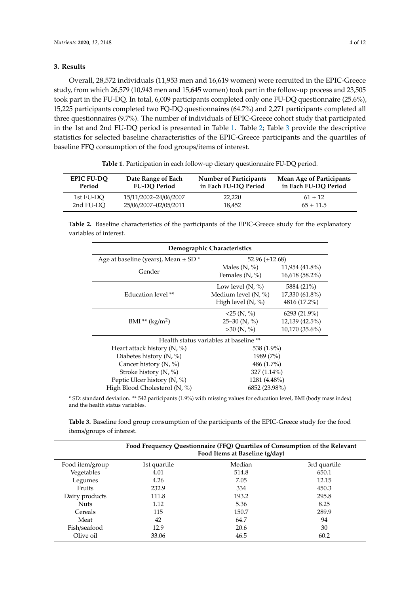## **3. Results**

Overall, 28,572 individuals (11,953 men and 16,619 women) were recruited in the EPIC-Greece study, from which 26,579 (10,943 men and 15,645 women) took part in the follow-up process and 23,505 took part in the FU-DQ. In total, 6,009 participants completed only one FU-DQ questionnaire (25.6%), 15,225 participants completed two FQ-DQ questionnaires (64.7%) and 2,271 participants completed all three questionnaires (9.7%). The number of individuals of EPIC-Greece cohort study that participated in the 1st and 2nd FU-DQ period is presented in Table [1.](#page-3-0) Table [2;](#page-3-1) Table [3](#page-3-2) provide the descriptive statistics for selected baseline characteristics of the EPIC-Greece participants and the quartiles of baseline FFQ consumption of the food groups/items of interest.

<span id="page-3-0"></span>

| <b>EPIC FU-DO</b> | Date Range of Each    | <b>Number of Participants</b> | <b>Mean Age of Participants</b> |
|-------------------|-----------------------|-------------------------------|---------------------------------|
| Period            | <b>FU-DO Period</b>   | in Each FU-DQ Period          | in Each FU-DQ Period            |
| 1st FU-DO         | 15/11/2002-24/06/2007 | 22,220                        | $61 \pm 12$                     |
| 2nd FU-DO         | 25/06/2007-02/05/2011 | 18.452                        | $65 \pm 11.5$                   |

**Table 1.** Participation in each follow-up dietary questionnaire FU-DQ period.

<span id="page-3-1"></span>**Table 2.** Baseline characteristics of the participants of the EPIC-Greece study for the explanatory variables of interest.

| Demographic Characteristics                         |                                        |                                    |  |  |  |  |  |
|-----------------------------------------------------|----------------------------------------|------------------------------------|--|--|--|--|--|
| Age at baseline (years), Mean $\pm$ SD <sup>*</sup> | $52.96 \ (\pm 12.68)$                  |                                    |  |  |  |  |  |
| Gender                                              | Males $(N, %)$<br>Females $(N, %)$     | 11,954 (41.8%)<br>$16,618(58.2\%)$ |  |  |  |  |  |
|                                                     | Low level $(N, %)$                     | 5884 (21%)                         |  |  |  |  |  |
| <b>Education level</b> **                           | Medium level $(N, %)$                  | 17,330 (61.8%)                     |  |  |  |  |  |
|                                                     | High level $(N, %)$                    | 4816 (17.2%)                       |  |  |  |  |  |
|                                                     | $<$ 25 (N, %)                          | $6293(21.9\%)$                     |  |  |  |  |  |
| BMI ** $(kg/m^2)$                                   | $25-30$ (N, %)                         | 12,139 (42.5%)                     |  |  |  |  |  |
|                                                     | $>30$ (N, %)                           | 10,170 (35.6%)                     |  |  |  |  |  |
|                                                     | Health status variables at baseline ** |                                    |  |  |  |  |  |
| Heart attack history $(N, %)$                       | 538 (1.9%)                             |                                    |  |  |  |  |  |
| Diabetes history $(N, %)$                           | 1989 (7%)                              |                                    |  |  |  |  |  |
| Cancer history $(N, %)$                             | 486 (1.7%)                             |                                    |  |  |  |  |  |
| Stroke history (N, %)                               | $327(1.14\%)$                          |                                    |  |  |  |  |  |
| Peptic Ulcer history (N, %)                         | 1281 (4.48%)                           |                                    |  |  |  |  |  |
| High Blood Cholesterol (N, %)                       | 6852 (23.98%)                          |                                    |  |  |  |  |  |

\* SD: standard deviation. \*\* 542 participants (1.9%) with missing values for education level, BMI (body mass index) and the health status variables.

<span id="page-3-2"></span>**Table 3.** Baseline food group consumption of the participants of the EPIC-Greece study for the food items/groups of interest.

|                 | Food Frequency Questionnaire (FFQ) Quartiles of Consumption of the Relevant<br>Food Items at Baseline (g/day) |        |              |  |  |  |
|-----------------|---------------------------------------------------------------------------------------------------------------|--------|--------------|--|--|--|
| Food item/group | 1st quartile                                                                                                  | Median | 3rd quartile |  |  |  |
| Vegetables      | 4.01                                                                                                          | 514.8  | 650.1        |  |  |  |
| Legumes         | 4.26                                                                                                          | 7.05   | 12.15        |  |  |  |
| Fruits          | 232.9                                                                                                         | 334    | 450.3        |  |  |  |
| Dairy products  | 111.8                                                                                                         | 193.2  | 295.8        |  |  |  |
| <b>Nuts</b>     | 1.12                                                                                                          | 5.36   | 8.25         |  |  |  |
| Cereals         | 115                                                                                                           | 150.7  | 289.9        |  |  |  |
| Meat            | 42                                                                                                            | 64.7   | 94           |  |  |  |
| Fish/seafood    | 12.9                                                                                                          | 20.6   | 30           |  |  |  |
| Olive oil       | 33.06                                                                                                         | 46.5   | 60.2         |  |  |  |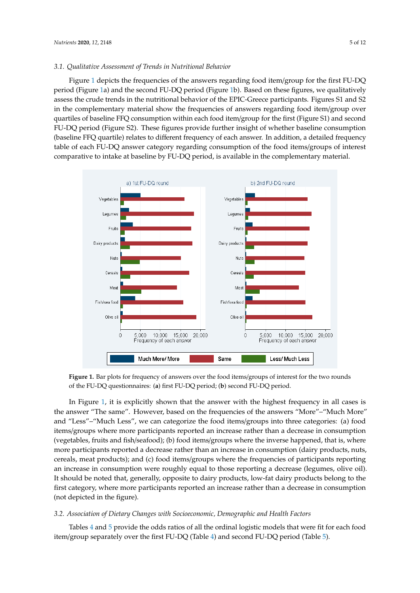#### 3.1. Qualitative Assessment of Trends in Nutritional Behavior NE HOOCOMENT OF INTERNATIONAL DENVELOPE

Figure 1 depicts the frequencies of the answers regarding food item/group for the first FU-DQ period (Figure [1a](#page-4-0)) and the second FU-DQ period (Figure [1b](#page-4-0)). Based on these figures, we qualitatively  $\frac{1}{2}$  assess the crude trends in the nutritional behavior of the EPIC-Greece participants. Figures S1 and S2 in the complementary material show the frequencies of answers regarding food item/group over quartiles of baseline FFQ consumption within each food item/group for the first (Figure S1) and second FU-DQ period (Figure S2). These figures provide further insight of whether baseline consumption (baseline FFQ quartile) relates to different frequency of each answer. In addition, a detailed frequency table of each FU-DQ answer category regarding consumption of the food items/groups of interest comparative to intake at baseline by FU-DQ period, is available in the complementary material.  $\alpha$  iterative measure more more participants reported and  $\alpha$  decrease  $\alpha$  decreases in consumption and  $\alpha$ the first category reporting consumption of the food nems groups of  $\frac{1}{2}$ 

<span id="page-4-0"></span>

**Figure 1.** Bar plots for frequency of answers over the food items/groups of interest for the two rounds **Figure 1.** Bar plots for frequency of answers over the food items/groups of interest for the two rounds of the FU-DQ questionnaires: (**a**) first FU-DQ period; (**b**) second FU-DQ period. of the FU-DQ questionnaires: (**a**) first FU-DQ period; (**b**) second FU-DQ period.

In Figure [1,](#page-4-0) it is explicitly shown that the answer with the highest frequency in all cases is the answer "The same". However, based on the frequencies of the answers "More"–"Much More" and "Less"–"Much Less", we can categorize the food items/groups into three categories: (a) food items/groups where more participants reported an increase rather than a decrease in consumption (vegetables, fruits and fish/seafood); (b) food items/groups where the inverse happened, that is, where more participants reported a decrease rather than an increase in consumption (dairy products, nuts, cereals, meat products); and (c) food items/groups where the frequencies of participants reporting an increase in consumption were roughly equal to those reporting a decrease (legumes, olive oil). It should be noted that, generally, opposite to dairy products, low-fat dairy products belong to the first category, where more participants reported an increase rather than a decrease in consumption (not depicted in the figure).

### *3.2. Association of Dietary Changes with Socioeconomic, Demographic and Health Factors*

Tables [4](#page-5-0) and [5](#page-6-0) provide the odds ratios of all the ordinal logistic models that were fit for each food item/group separately over the first FU-DQ (Table [4\)](#page-5-0) and second FU-DQ period (Table [5\)](#page-6-0).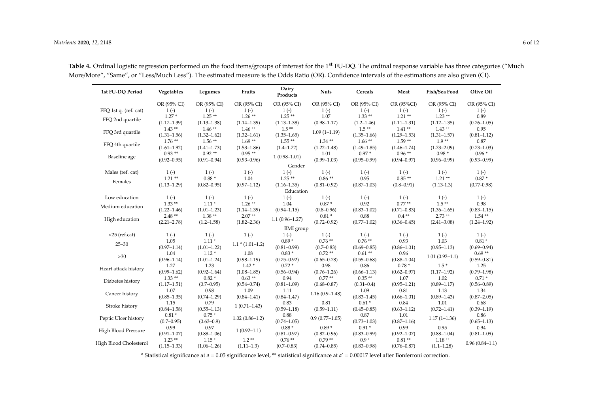| 1st FU-DQ Period           | Vegetables                  | Legumes                     | Fruits                      | Dairy<br>Products  | <b>Nuts</b>        | <b>Cereals</b>          | Meat            | Fish/Sea Food               | Olive Oil         |
|----------------------------|-----------------------------|-----------------------------|-----------------------------|--------------------|--------------------|-------------------------|-----------------|-----------------------------|-------------------|
|                            | OR (95% CI)                 | OR (95% CI)                 | OR (95% CI)                 | OR (95% CI)        | OR (95% CI)        | OR (95% CI)             | OR (95%CI)      | OR (95% CI)                 | OR (95% CI)       |
| FFQ 1st q. (ref. cat)      | $1(-)$                      | $1(-)$                      | $1(-)$                      | $1(-)$             | $1(-)$             | $1(-)$                  | $1(-)$          | $1(-)$                      | $1(-)$            |
| FFQ 2nd quartile           | $1.27*$                     | $1.25**$                    | $1.26**$                    | $1.25**$           | 1.07               | $1.33**$                | $1.21**$        | $1.23**$                    | 0.89              |
|                            | $(1.17 - 1.39)$             | $(1.13 - 1.38)$             | $(1.14 - 1.39)$             | $(1.13 - 1.38)$    | $(0.98 - 1.17)$    | $(1.2 - 1.46)$          | $(1.11 - 1.31)$ | $(1.12 - 1.35)$             | $(0.76 - 1.05)$   |
| FFQ 3rd quartile           | $1.43**$                    | $1.46**$                    | $1.46**$                    | $1.5**$            | $1.09(1 - 1.19)$   | $1.5**$                 | $1.41**$        | $1.43**$                    | 0.95              |
|                            | $(1.31 - 1.56)$             | $(1.32 - 1.62)$             | $(1.32 - 1.61)$             | $(1.35 - 1.65)$    |                    | $(1.35 - 1.66)$         | $(1.29 - 1.53)$ | $(1.31 - 1.57)$             | $(0.81 - 1.12)$   |
| FFQ 4th quartile           | $1.76**$                    | $1.56**$                    | $1.69**$                    | $1.55**$           | $1.34**$           | $1.66**$                | $1.59**$        | $1.9**$                     | 0.87              |
|                            | $(1.61 - 1.92)$             | $(1.41 - 1.73)$             | $(1.53 - 1.86)$             | $(1.4 - 1.72)$     | $(1.22 - 1.48)$    | $(1.49 - 1.85)$         | $(1.46 - 1.74)$ | $(1.73 - 2.09)$             | $(0.73 - 1.03)$   |
| Baseline age               | $0.93**$                    | $0.92**$                    | $0.95**$                    | $1(0.98 - 1.01)$   | 1.01               | $0.97*$                 | $0.96**$        | $0.98*$                     | $0.96*$           |
|                            | $(0.92 - 0.95)$             | $(0.91 - 0.94)$             | $(0.93 - 0.96)$             |                    | $(0.99 - 1.03)$    | $(0.95 - 0.99)$         | $(0.94 - 0.97)$ | $(0.96 - 0.99)$             | $(0.93 - 0.99)$   |
|                            |                             |                             |                             | Gender             |                    |                         |                 |                             |                   |
| Males (ref. cat)           | $1(-)$                      | $1(-)$                      | $1(-)$                      | $1(-)$             | $1(-)$             | $1(-)$                  | $1(-)$          | $1(-)$                      | $1(-)$            |
| Females                    | $1.21**$                    | $0.88*$                     | 1.04                        | $1.25**$           | $0.86**$           | 0.95                    | $0.85**$        | $1.21**$                    | $0.87*$           |
|                            | $(1.13 - 1.29)$             | $(0.82 - 0.95)$             | $(0.97 - 1.12)$             | $(1.16 - 1.35)$    | $(0.81 - 0.92)$    | $(0.87 - 1.03)$         | $(0.8 - 0.91)$  | $(1.13-1.3)$                | $(0.77 - 0.98)$   |
|                            |                             |                             |                             | Education          |                    |                         |                 |                             |                   |
| Low education              | $1(-)$                      | $1(-)$                      | $1(-)$                      | $1(-)$             | $1(-)$             | $1(-)$                  | $1(-)$          | $1(-)$                      | $1(-)$            |
| Medium education           | $1.33**$                    | $1.11*$                     | $1.26**$                    | 1.04               | $0.87*$            | 0.92                    | $0.77**$        | $1.5**$                     | 0.98              |
|                            | $(1.22 - 1.46)$<br>$2.48**$ | $(1.01 - 1.23)$<br>$1.38**$ | $(1.14 - 1.39)$             | $(0.94 - 1.15)$    | $(0.8 - 0.96)$     | $(0.83 - 1.02)$         | $(0.71 - 0.83)$ | $(1.36 - 1.65)$<br>$2.73**$ | $(0.83 - 1.15)$   |
| High education             |                             |                             | $2.07**$<br>$(1.82 - 2.36)$ | $1.1(0.96 - 1.27)$ | $0.81*$            | 0.88<br>$(0.77 - 1.02)$ | $0.4**$         |                             | $1.54**$          |
|                            | $(2.21 - 2.78)$             | $(1.2 - 1.58)$              |                             |                    | $(0.72 - 0.92)$    |                         | $(0.36 - 0.45)$ | $(2.41 - 3.08)$             | $(1.24 - 1.92)$   |
| $<$ 25 (ref.cat)           |                             |                             |                             | <b>BMI</b> group   |                    |                         |                 |                             |                   |
|                            | $1(-)$<br>1.05              | $1(-)$<br>$1.11*$           | $1(-)$                      | $1(-)$<br>$0.89*$  | $1(-)$<br>$0.76**$ | $1(-)$<br>$0.76**$      | $1(-)$<br>0.93  | $1(-)$<br>1.03              | $1(-)$<br>$0.81*$ |
| $25 - 30$                  | $(0.97 - 1.14)$             | $(1.01 - 1.22)$             | $1.1 * (1.01 - 1.2)$        | $(0.81 - 0.99)$    | $(0.7 - 0.83)$     | $(0.69 - 0.85)$         | $(0.86 - 1.01)$ | $(0.95 - 1.13)$             | $(0.69 - 0.94)$   |
|                            | 1.04                        | $1.12*$                     | 1.08                        | $0.83*$            | $0.72**$           | $0.61**$                | 0.96            |                             | $0.69**$          |
| $>30$                      | $(0.96 - 1.14)$             | $(1.01 - 1.24)$             | $(0.98 - 1.19)$             | $(0.75 - 0.92)$    | $(0.65 - 0.78)$    | $(0.55 - 0.68)$         | $(0.88 - 1.04)$ | $1.01(0.92 - 1.1)$          | $(0.59 - 0.81)$   |
|                            | 1.27                        | 1.23                        | $1.42*$                     | $0.72*$            | 0.98               | 0.86                    | $0.78*$         | $1.5*$                      | 1.25              |
| Heart attack history       | $(0.99 - 1.62)$             | $(0.92 - 1.64)$             | $(1.08 - 1.85)$             | $(0.56 - 0.94)$    | $(0.76 - 1.26)$    | $(0.66 - 1.13)$         | $(0.62 - 0.97)$ | $(1.17 - 1.92)$             | $(0.79 - 1.98)$   |
|                            | $1.33**$                    | $0.82*$                     | $0.63**$                    | 0.94               | $0.77**$           | $0.35**$                | 1.07            | 1.02                        | $0.71*$           |
| Diabetes history           | $(1.17 - 1.51)$             | $(0.7 - 0.95)$              | $(0.54 - 0.74)$             | $(0.81 - 1.09)$    | $(0.68 - 0.87)$    | $(0.31 - 0.4)$          | $(0.95 - 1.21)$ | $(0.89 - 1.17)$             | $(0.56 - 0.89)$   |
|                            | 1.07                        | 0.98                        | 1.09                        | 1.11               |                    | 1.09                    | 0.81            | 1.13                        | 1.34              |
| Cancer history             | $(0.85 - 1.35)$             | $(0.74 - 1.29)$             | $(0.84 - 1.41)$             | $(0.84 - 1.47)$    | $1.16(0.9-1.48)$   | $(0.83 - 1.45)$         | $(0.66 - 1.01)$ | $(0.89 - 1.43)$             | $(0.87 - 2.05)$   |
|                            | 1.15                        | 0.79                        |                             | 0.83               | 0.81               | $0.61*$                 | 0.84            | 1.01                        | 0.68              |
| Stroke history             | $(0.84 - 1.58)$             | $(0.55 - 1.13)$             | $1(0.71 - 1.43)$            | $(0.59 - 1.18)$    | $(0.59 - 1.11)$    | $(0.45 - 0.85)$         | $(0.63 - 1.12)$ | $(0.72 - 1.41)$             | $(0.39 - 1.19)$   |
|                            | $0.81*$                     | $0.75*$                     |                             | 0.88               |                    | 0.87                    | 1.01            |                             | 0.86              |
| Peptic Ulcer history       | $(0.7 - 0.95)$              | $(0.63 - 0.9)$              | $1.02(0.86 - 1.2)$          | $(0.74 - 1.05)$    | $0.9(0.77-1.05)$   | $(0.73 - 1.03)$         | $(0.87 - 1.16)$ | $1.17(1 - 1.36)$            | $(0.65 - 1.13)$   |
| <b>High Blood Pressure</b> | 0.99                        | 0.97                        |                             | $0.88*$            | $0.89*$            | $0.91*$                 | 0.99            | 0.95                        | 0.94              |
|                            | $(0.91 - 1.07)$             | $(0.88 - 1.06)$             | $1(0.92-1.1)$               | $(0.81 - 0.97)$    | $(0.82 - 0.96)$    | $(0.83 - 0.99)$         | $(0.92 - 1.07)$ | $(0.88 - 1.04)$             | $(0.81 - 1.09)$   |
|                            | $1.23**$                    | $1.15*$                     | $1.2**$                     | $0.76**$           | $0.79**$           | $0.9*$                  | $0.81**$        | $1.18**$                    | $0.96(0.84-1.1)$  |
| High Blood Cholesterol     | $(1.15 - 1.33)$             | $(1.06 - 1.26)$             | $(1.11-1.3)$                | $(0.7 - 0.83)$     | $(0.74 - 0.85)$    | $(0.83 - 0.98)$         | $(0.76 - 0.87)$ | $(1.1 - 1.28)$              |                   |

Table 4. Ordinal logistic regression performed on the food items/groups of interest for the 1<sup>st</sup> FU-DQ. The ordinal response variable has three categories ("Much More/More", "Same", or "Less/Much Less"). The estimated measure is the Odds Ratio (OR). Confidence intervals of the estimations are also given (CI).

<span id="page-5-0"></span>\* Statistical significance at *a* = 0.05 significance level, \*\* statistical significance at *a'* = 0.00017 level after Bonferroni correction.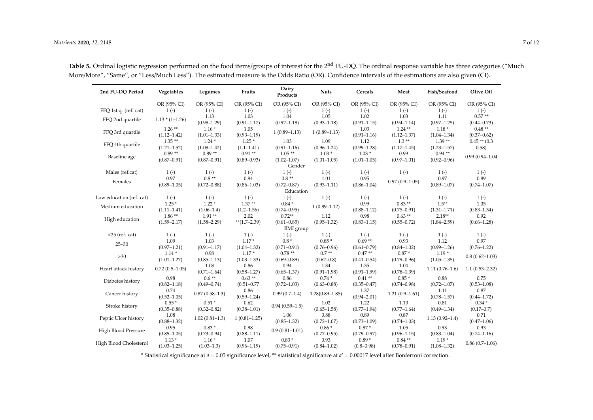| 2nd FU-DQ Period           | Vegetables                  | Legumes                     | Fruits                     | Dairy<br>Products           | <b>Nuts</b>                | Cereals                    | Meat                    | Fish/Seafood                | Olive Oil                  |
|----------------------------|-----------------------------|-----------------------------|----------------------------|-----------------------------|----------------------------|----------------------------|-------------------------|-----------------------------|----------------------------|
|                            | OR (95% CI)                 | OR (95% CI)                 | OR (95% CI)                | OR (95% CI)                 | OR (95% CI)                | OR (95% CI)                | OR (95% CI)             | OR (95% CI)                 | OR (95% CI)                |
| FFQ 1st q. (ref. cat)      | $1(-)$                      | $1(-)$                      | $1(-)$                     | $1(-)$                      | $1(-)$                     | $1(-)$                     | $1(-)$                  | $1(-)$                      | $1(-)$                     |
| FFQ 2nd quartile           | $1.13 * (1 - 1.26)$         | 1.13                        | 1.03                       | 1.04                        | 1.05                       | 1.02                       | 1.03                    | 1.11                        | $0.57**$                   |
|                            |                             | $(0.98 - 1.29)$             | $(0.91 - 1.17)$            | $(0.92 - 1.18)$             | $(0.93 - 1.18)$            | $(0.91 - 1.15)$            | $(0.94 - 1.14)$         | $(0.97 - 1.25)$             | $(0.44 - 0.73)$            |
| FFQ 3rd quartile           | $1.26**$                    | $1.16*$                     | 1.05                       | $1(0.89 - 1.13)$            | $1(0.89 - 1.13)$           | 1.03                       | $1.24**$                | $1.18*$                     | $0.48**$                   |
|                            | $(1.12 - 1.42)$             | $(1.01 - 1.33)$             | $(0.93 - 1.19)$            |                             |                            | $(0.91 - 1.16)$            | $(1.12 - 1.37)$         | $(1.04 - 1.34)$             | $(0.37 - 0.62)$            |
| FFQ 4th quartile           | $1.35**$                    | $1.24*$                     | $1.25*$                    | 1.03                        | 1.09                       | 1.12                       | $1.3**$                 | $1.39**$                    | $0.45**$ (0.3)             |
|                            | $(1.21 - 1.52)$<br>$0.89**$ | $(1.08 - 1.42)$<br>$0.89**$ | $(1.1 - 1.41)$<br>$0.91**$ | $(0.91 - 1.16)$<br>$1.05**$ | $(0.96 - 1.24)$<br>$1.03*$ | $(0.99 - 1.28)$<br>$1.03*$ | $(1.17 - 1.45)$<br>0.99 | $(1.23 - 1.57)$<br>$0.94**$ | 0.58)                      |
| Baseline age               | $(0.87 - 0.91)$             | $(0.87 - 0.91)$             | $(0.89 - 0.93)$            | $(1.02 - 1.07)$             | $(1.01 - 1.05)$            | $(1.01 - 1.05)$            | $(0.97 - 1.01)$         | $(0.92 - 0.96)$             | $0.99(0.94 - 1.04)$        |
|                            |                             |                             |                            | Gender                      |                            |                            |                         |                             |                            |
| Males (ref.cat)            | $1(-)$                      | $1(-)$                      | $1(-)$                     | $1(-)$                      | $1(-)$                     | $1(-)$                     | $1(-)$                  | $1(-)$                      | $1(-)$                     |
|                            | 0.97                        | $0.8**$                     | 0.94                       | $0.8**$                     | 1.01                       | 0.95                       |                         | 0.97                        | 0.89                       |
| Females                    | $(0.89 - 1.05)$             | $(0.72 - 0.88)$             | $(0.86 - 1.03)$            | $(0.72 - 0.87)$             | $(0.93 - 1.11)$            | $(0.86 - 1.04)$            | $0.97(0.9-1.05)$        | $(0.89 - 1.07)$             | $(0.74 - 1.07)$            |
|                            |                             |                             |                            | Education                   |                            |                            |                         |                             |                            |
| Low education (ref. cat)   | $1(-)$                      | $1(-)$                      | $1(-)$                     | $1(-)$                      | $1(-)$                     | $1(-)$                     | $1(-)$                  | $1(-)$                      | $1(-)$                     |
|                            | $1.25*$                     | $1.22*$                     | $1.37**$                   | $0.84*$                     |                            | 0.99                       | $0.83**$                | $1.5**$                     | 1.05                       |
| Medium education           | $(1.11 - 1.41)$             | $(1.06-1.4)$                | $(1.2 - 1.56)$             | $(0.74 - 0.95)$             | $1(0.89 - 1.12)$           | $(0.88 - 1.12)$            | $(0.75 - 0.91)$         | $(1.31 - 1.71)$             | $(0.83 - 1.34)$            |
|                            | $1.86**$                    | $1.91**$                    | 2.02                       | $0.72**$                    | 1.12                       | 0.98                       | $0.63**$                | $2.18**$                    | 0.92                       |
| High education             | $(1.59 - 2.17)$             | $(1.58 - 2.29)$             | $**(1.7-2.39)$             | $(0.61 - 0.85)$             | $(0.95 - 1.32)$            | $(0.83 - 1.15)$            | $(0.55 - 0.72)$         | $(1.84 - 2.59)$             | $(0.66 - 1.28)$            |
|                            |                             |                             |                            | BMI group                   |                            |                            |                         |                             |                            |
| $<$ 25 (ref. cat)          | $1(-)$                      | $1(-)$                      | $1(-)$                     | $1(-)$                      | $1(-)$                     | $1(-)$                     | $1(-)$                  | $1(-)$                      | $1(-)$                     |
| $25 - 30$                  | 1.09                        | 1.03                        | $1.17*$                    | $0.8*$                      | $0.85*$                    | $0.69**$                   | 0.93                    | 1.12                        | 0.97                       |
|                            | $(0.97 - 1.21)$             | $(0.91 - 1.17)$             | $(1.04 - 1.32)$            | $(0.71 - 0.91)$             | $(0.76 - 0.96)$            | $(0.61 - 0.79)$            | $(0.84 - 1.02)$         | $(0.99 - 1.26)$             | $(0.76 - 1.22)$            |
| $>30$                      | $1.14*$                     | 0.98                        | $1.17*$                    | $0.78**$                    | $0.7**$                    | $0.47**$                   | $0.87*$                 | $1.19*$                     | $0.8(0.62 - 1.03)$         |
|                            | $(1.01 - 1.27)$             | $(0.85 - 1.13)$             | $(1.03 - 1.33)$            | $(0.69 - 0.89)$             | $(0.62 - 0.8)$             | $(0.41 - 0.54)$            | $(0.79 - 0.96)$         | $(1.05 - 1.35)$             |                            |
| Heart attack history       | $0.72(0.5-1.05)$            | 1.08                        | 0.86                       | 0.94                        | 1.34                       | 1.35                       | 1.04                    | $1.11(0.76-1.6)$            | $1.1(0.53 - 2.32)$         |
|                            |                             | $(0.71 - 1.64)$             | $(0.58 - 1.27)$            | $(0.65 - 1.37)$             | $(0.91 - 1.98)$            | $(0.91 - 1.99)$            | $(0.78 - 1.39)$         |                             |                            |
| Diabetes history           | 0.98                        | $0.6**$                     | $0.63**$                   | 0.86                        | $0.74*$                    | $0.41**$                   | $0.85*$                 | 0.88                        | 0.75                       |
|                            | $(0.82 - 1.18)$             | $(0.49 - 0.74)$             | $(0.51 - 0.77)$            | $(0.72 - 1.03)$             | $(0.63 - 0.88)$            | $(0.35 - 0.47)$            | $(0.74 - 0.98)$         | $(0.72 - 1.07)$             | $(0.53 - 1.08)$            |
| Cancer history             | 0.74                        | $0.87(0.58-1.3)$            | 0.86                       | $0.99(0.7-1.4)$             | $1.28(0.89 - 1.85)$        | 1.37                       | $1.21(0.9-1.61)$        | 1.11                        | 0.87                       |
|                            | $(0.52 - 1.05)$<br>$0.55*$  | $0.51*$                     | $(0.59 - 1.24)$<br>0.62    |                             | 1.02                       | $(0.94 - 2.01)$<br>1.22    | 1.13                    | $(0.78 - 1.57)$<br>0.81     | $(0.44 - 1.72)$<br>$0.34*$ |
| Stroke history             | $(0.35 - 0.88)$             | $(0.32 - 0.82)$             | $(0.38 - 1.01)$            | $0.94(0.59-1.5)$            | $(0.65 - 1.58)$            | $(0.77 - 1.94)$            | $(0.77 - 1.64)$         | $(0.49 - 1.34)$             | $(0.17 - 0.7)$             |
|                            | 1.08                        |                             |                            | 1.06                        | 0.88                       | 0.89                       | 0.87                    |                             | 0.71                       |
| Peptic Ulcer history       | $(0.88 - 1.32)$             | $1.02(0.81-1.3)$            | $1(0.81 - 1.25)$           | $(0.85 - 1.32)$             | $(0.72 - 1.07)$            | $(0.73 - 1.09)$            | $(0.74 - 1.03)$         | $1.13(0.92 - 1.4)$          | $(0.47 - 1.06)$            |
| <b>High Blood Pressure</b> | 0.95                        | $0.83*$                     | 0.98                       |                             | $0.86*$                    | $0.87*$                    | 1.05                    | 0.93                        | 0.93                       |
|                            | $(0.85 - 1.05)$             | $(0.73 - 0.94)$             | $(0.88 - 1.11)$            | $0.9(0.81 - 1.01)$          | $(0.77 - 0.95)$            | $(0.79 - 0.97)$            | $(0.96 - 1.15)$         | $(0.83 - 1.04)$             | $(0.74 - 1.16)$            |
|                            | $1.13*$                     | $1.16*$                     | 1.07                       | $0.83*$                     | 0.93                       | $0.89*$                    | $0.84**$                | $1.19*$                     |                            |
| High Blood Cholesterol     | $(1.03 - 1.25)$             | $(1.03 - 1.3)$              | $(0.96 - 1.19)$            | $(0.75 - 0.91)$             | $(0.84 - 1.02)$            | $(0.8 - 0.98)$             | $(0.78 - 0.91)$         | $(1.08 - 1.32)$             | $0.86(0.7-1.06)$           |

Table 5. Ordinal logistic regression performed on the food items/groups of interest for the 2<sup>nd</sup> FU-DQ. The ordinal response variable has three categories ("Much More/More", "Same", or "Less/Much Less"). The estimated measure is the Odds Ratio (OR). Confidence intervals of the estimations are also given (CI).

<span id="page-6-0"></span>\* Statistical significance at *a* = 0.05 significance level, \*\* statistical significance at *a*' = 0.00017 level after Bonferroni correction.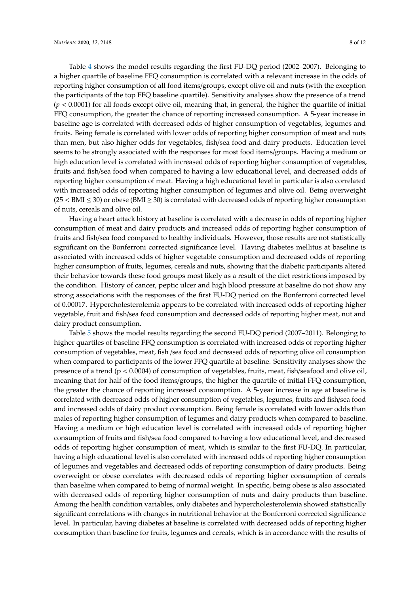Table [4](#page-5-0) shows the model results regarding the first FU-DQ period (2002–2007). Belonging to a higher quartile of baseline FFQ consumption is correlated with a relevant increase in the odds of reporting higher consumption of all food items/groups, except olive oil and nuts (with the exception the participants of the top FFQ baseline quartile). Sensitivity analyses show the presence of a trend (*p* < 0.0001) for all foods except olive oil, meaning that, in general, the higher the quartile of initial FFQ consumption, the greater the chance of reporting increased consumption. A 5-year increase in baseline age is correlated with decreased odds of higher consumption of vegetables, legumes and fruits. Being female is correlated with lower odds of reporting higher consumption of meat and nuts than men, but also higher odds for vegetables, fish/sea food and dairy products. Education level seems to be strongly associated with the responses for most food items/groups. Having a medium or high education level is correlated with increased odds of reporting higher consumption of vegetables, fruits and fish/sea food when compared to having a low educational level, and decreased odds of reporting higher consumption of meat. Having a high educational level in particular is also correlated with increased odds of reporting higher consumption of legumes and olive oil. Being overweight  $(25 < BMI \le 30)$  or obese (BMI  $\ge 30$ ) is correlated with decreased odds of reporting higher consumption of nuts, cereals and olive oil.

Having a heart attack history at baseline is correlated with a decrease in odds of reporting higher consumption of meat and dairy products and increased odds of reporting higher consumption of fruits and fish/sea food compared to healthy individuals. However, those results are not statistically significant on the Bonferroni corrected significance level. Having diabetes mellitus at baseline is associated with increased odds of higher vegetable consumption and decreased odds of reporting higher consumption of fruits, legumes, cereals and nuts, showing that the diabetic participants altered their behavior towards these food groups most likely as a result of the diet restrictions imposed by the condition. History of cancer, peptic ulcer and high blood pressure at baseline do not show any strong associations with the responses of the first FU-DQ period on the Bonferroni corrected level of 0.00017. Hypercholesterolemia appears to be correlated with increased odds of reporting higher vegetable, fruit and fish/sea food consumption and decreased odds of reporting higher meat, nut and dairy product consumption.

Table [5](#page-6-0) shows the model results regarding the second FU-DQ period (2007–2011). Belonging to higher quartiles of baseline FFQ consumption is correlated with increased odds of reporting higher consumption of vegetables, meat, fish /sea food and decreased odds of reporting olive oil consumption when compared to participants of the lower FFQ quartile at baseline. Sensitivity analyses show the presence of a trend  $(p < 0.0004)$  of consumption of vegetables, fruits, meat, fish/seafood and olive oil, meaning that for half of the food items/groups, the higher the quartile of initial FFQ consumption, the greater the chance of reporting increased consumption. A 5-year increase in age at baseline is correlated with decreased odds of higher consumption of vegetables, legumes, fruits and fish/sea food and increased odds of dairy product consumption. Being female is correlated with lower odds than males of reporting higher consumption of legumes and dairy products when compared to baseline. Having a medium or high education level is correlated with increased odds of reporting higher consumption of fruits and fish/sea food compared to having a low educational level, and decreased odds of reporting higher consumption of meat, which is similar to the first FU-DQ. In particular, having a high educational level is also correlated with increased odds of reporting higher consumption of legumes and vegetables and decreased odds of reporting consumption of dairy products. Being overweight or obese correlates with decreased odds of reporting higher consumption of cereals than baseline when compared to being of normal weight. In specific, being obese is also associated with decreased odds of reporting higher consumption of nuts and dairy products than baseline. Among the health condition variables, only diabetes and hypercholesterolemia showed statistically significant correlations with changes in nutritional behavior at the Bonferroni corrected significance level. In particular, having diabetes at baseline is correlated with decreased odds of reporting higher consumption than baseline for fruits, legumes and cereals, which is in accordance with the results of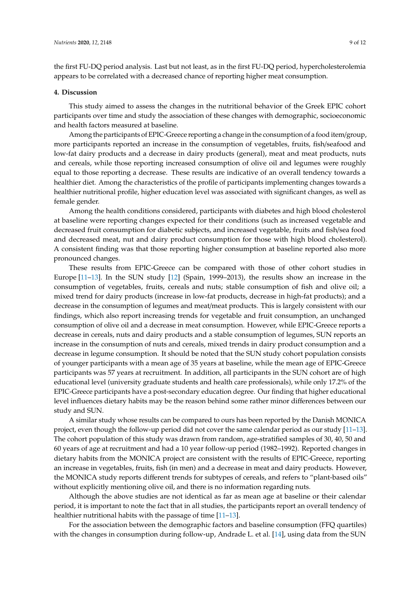the first FU-DQ period analysis. Last but not least, as in the first FU-DQ period, hypercholesterolemia appears to be correlated with a decreased chance of reporting higher meat consumption.

#### **4. Discussion**

This study aimed to assess the changes in the nutritional behavior of the Greek EPIC cohort participants over time and study the association of these changes with demographic, socioeconomic and health factors measured at baseline.

Among the participants of EPIC-Greece reporting a change in the consumption of a food item/group, more participants reported an increase in the consumption of vegetables, fruits, fish/seafood and low-fat dairy products and a decrease in dairy products (general), meat and meat products, nuts and cereals, while those reporting increased consumption of olive oil and legumes were roughly equal to those reporting a decrease. These results are indicative of an overall tendency towards a healthier diet. Among the characteristics of the profile of participants implementing changes towards a healthier nutritional profile, higher education level was associated with significant changes, as well as female gender.

Among the health conditions considered, participants with diabetes and high blood cholesterol at baseline were reporting changes expected for their conditions (such as increased vegetable and decreased fruit consumption for diabetic subjects, and increased vegetable, fruits and fish/sea food and decreased meat, nut and dairy product consumption for those with high blood cholesterol). A consistent finding was that those reporting higher consumption at baseline reported also more pronounced changes.

These results from EPIC-Greece can be compared with those of other cohort studies in Europe [\[11](#page-10-7)[–13\]](#page-10-8). In the SUN study [\[12\]](#page-10-10) (Spain, 1999–2013), the results show an increase in the consumption of vegetables, fruits, cereals and nuts; stable consumption of fish and olive oil; a mixed trend for dairy products (increase in low-fat products, decrease in high-fat products); and a decrease in the consumption of legumes and meat/meat products. This is largely consistent with our findings, which also report increasing trends for vegetable and fruit consumption, an unchanged consumption of olive oil and a decrease in meat consumption. However, while EPIC-Greece reports a decrease in cereals, nuts and dairy products and a stable consumption of legumes, SUN reports an increase in the consumption of nuts and cereals, mixed trends in dairy product consumption and a decrease in legume consumption. It should be noted that the SUN study cohort population consists of younger participants with a mean age of 35 years at baseline, while the mean age of EPIC-Greece participants was 57 years at recruitment. In addition, all participants in the SUN cohort are of high educational level (university graduate students and health care professionals), while only 17.2% of the EPIC-Greece participants have a post-secondary education degree. Our finding that higher educational level influences dietary habits may be the reason behind some rather minor differences between our study and SUN.

A similar study whose results can be compared to ours has been reported by the Danish MONICA project, even though the follow-up period did not cover the same calendar period as our study [\[11–](#page-10-7)[13\]](#page-10-8). The cohort population of this study was drawn from random, age-stratified samples of 30, 40, 50 and 60 years of age at recruitment and had a 10 year follow-up period (1982–1992). Reported changes in dietary habits from the MONICA project are consistent with the results of EPIC-Greece, reporting an increase in vegetables, fruits, fish (in men) and a decrease in meat and dairy products. However, the MONICA study reports different trends for subtypes of cereals, and refers to "plant-based oils" without explicitly mentioning olive oil, and there is no information regarding nuts.

Although the above studies are not identical as far as mean age at baseline or their calendar period, it is important to note the fact that in all studies, the participants report an overall tendency of healthier nutritional habits with the passage of time [\[11–](#page-10-7)[13\]](#page-10-8).

For the association between the demographic factors and baseline consumption (FFQ quartiles) with the changes in consumption during follow-up, Andrade L. et al. [\[14\]](#page-10-9), using data from the SUN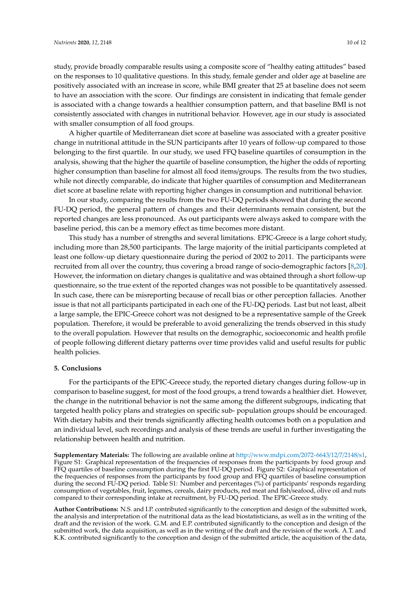study, provide broadly comparable results using a composite score of "healthy eating attitudes" based on the responses to 10 qualitative questions. In this study, female gender and older age at baseline are positively associated with an increase in score, while BMI greater that 25 at baseline does not seem to have an association with the score. Our findings are consistent in indicating that female gender is associated with a change towards a healthier consumption pattern, and that baseline BMI is not consistently associated with changes in nutritional behavior. However, age in our study is associated with smaller consumption of all food groups.

A higher quartile of Mediterranean diet score at baseline was associated with a greater positive change in nutritional attitude in the SUN participants after 10 years of follow-up compared to those belonging to the first quartile. In our study, we used FFQ baseline quartiles of consumption in the analysis, showing that the higher the quartile of baseline consumption, the higher the odds of reporting higher consumption than baseline for almost all food items/groups. The results from the two studies, while not directly comparable, do indicate that higher quartiles of consumption and Mediterranean diet score at baseline relate with reporting higher changes in consumption and nutritional behavior.

In our study, comparing the results from the two FU-DQ periods showed that during the second FU-DQ period, the general pattern of changes and their determinants remain consistent, but the reported changes are less pronounced. As out participants were always asked to compare with the baseline period, this can be a memory effect as time becomes more distant.

This study has a number of strengths and several limitations. EPIC-Greece is a large cohort study, including more than 28,500 participants. The large majority of the initial participants completed at least one follow-up dietary questionnaire during the period of 2002 to 2011. The participants were recruited from all over the country, thus covering a broad range of socio-demographic factors [\[8,](#page-10-4)[20\]](#page-11-5). However, the information on dietary changes is qualitative and was obtained through a short follow-up questionnaire, so the true extent of the reported changes was not possible to be quantitatively assessed. In such case, there can be misreporting because of recall bias or other perception fallacies. Another issue is that not all participants participated in each one of the FU-DQ periods. Last but not least, albeit a large sample, the EPIC-Greece cohort was not designed to be a representative sample of the Greek population. Therefore, it would be preferable to avoid generalizing the trends observed in this study to the overall population. However that results on the demographic, socioeconomic and health profile of people following different dietary patterns over time provides valid and useful results for public health policies.

## **5. Conclusions**

For the participants of the EPIC-Greece study, the reported dietary changes during follow-up in comparison to baseline suggest, for most of the food groups, a trend towards a healthier diet. However, the change in the nutritional behavior is not the same among the different subgroups, indicating that targeted health policy plans and strategies on specific sub- population groups should be encouraged. With dietary habits and their trends significantly affecting health outcomes both on a population and an individual level, such recordings and analysis of these trends are useful in further investigating the relationship between health and nutrition.

**Supplementary Materials:** The following are available online at http://[www.mdpi.com](http://www.mdpi.com/2072-6643/12/7/2148/s1)/2072-6643/12/7/2148/s1, Figure S1: Graphical representation of the frequencies of responses from the participants by food group and FFQ quartiles of baseline consumption during the first FU-DQ period. Figure S2: Graphical representation of the frequencies of responses from the participants by food group and FFQ quartiles of baseline consumption during the second FU-DQ period. Table S1: Number and percentages (%) of participants' responds regarding consumption of vegetables, fruit, legumes, cereals, dairy products, red meat and fish/seafood, olive oil and nuts compared to their corresponding intake at recruitment, by FU-DQ period. The EPIC-Greece study.

**Author Contributions:** N.S. and I.P. contributed significantly to the conception and design of the submitted work, the analysis and interpretation of the nutritional data as the lead biostatisticians, as well as in the writing of the draft and the revision of the work. G.M. and E.P. contributed significantly to the conception and design of the submitted work, the data acquisition, as well as in the writing of the draft and the revision of the work. A.T. and K.K. contributed significantly to the conception and design of the submitted article, the acquisition of the data,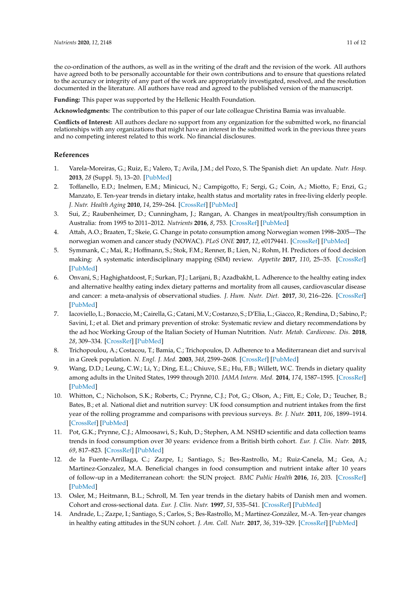the co-ordination of the authors, as well as in the writing of the draft and the revision of the work. All authors have agreed both to be personally accountable for their own contributions and to ensure that questions related to the accuracy or integrity of any part of the work are appropriately investigated, resolved, and the resolution documented in the literature. All authors have read and agreed to the published version of the manuscript.

**Funding:** This paper was supported by the Hellenic Health Foundation.

**Acknowledgments:** The contribution to this paper of our late colleague Christina Bamia was invaluable.

**Conflicts of Interest:** All authors declare no support from any organization for the submitted work, no financial relationships with any organizations that might have an interest in the submitted work in the previous three years and no competing interest related to this work. No financial disclosures.

## **References**

- <span id="page-10-0"></span>1. Varela-Moreiras, G.; Ruiz, E.; Valero, T.; Avila, J.M.; del Pozo, S. The Spanish diet: An update. *Nutr. Hosp.* **2013**, *28* (Suppl. 5), 13–20. [\[PubMed\]](http://www.ncbi.nlm.nih.gov/pubmed/24010740)
- 2. Toffanello, E.D.; Inelmen, E.M.; Minicuci, N.; Campigotto, F.; Sergi, G.; Coin, A.; Miotto, F.; Enzi, G.; Manzato, E. Ten-year trends in dietary intake, health status and mortality rates in free-living elderly people. *J. Nutr. Health Aging* **2010**, *14*, 259–264. [\[CrossRef\]](http://dx.doi.org/10.1007/s12603-010-0058-1) [\[PubMed\]](http://www.ncbi.nlm.nih.gov/pubmed/20305991)
- 3. Sui, Z.; Raubenheimer, D.; Cunningham, J.; Rangan, A. Changes in meat/poultry/fish consumption in Australia: from 1995 to 2011–2012. *Nutrients* **2016**, *8*, 753. [\[CrossRef\]](http://dx.doi.org/10.3390/nu8120753) [\[PubMed\]](http://www.ncbi.nlm.nih.gov/pubmed/27886131)
- <span id="page-10-1"></span>4. Attah, A.O.; Braaten, T.; Skeie, G. Change in potato consumption among Norwegian women 1998–2005—The norwegian women and cancer study (NOWAC). *PLoS ONE* **2017**, *12*, e0179441. [\[CrossRef\]](http://dx.doi.org/10.1371/journal.pone.0179441) [\[PubMed\]](http://www.ncbi.nlm.nih.gov/pubmed/28598991)
- <span id="page-10-2"></span>5. Symmank, C.; Mai, R.; Hoffmann, S.; Stok, F.M.; Renner, B.; Lien, N.; Rohm, H. Predictors of food decision making: A systematic interdisciplinary mapping (SIM) review. *Appetite* **2017**, *110*, 25–35. [\[CrossRef\]](http://dx.doi.org/10.1016/j.appet.2016.11.023) [\[PubMed\]](http://www.ncbi.nlm.nih.gov/pubmed/27871944)
- <span id="page-10-3"></span>6. Onvani, S.; Haghighatdoost, F.; Surkan, P.J.; Larijani, B.; Azadbakht, L. Adherence to the healthy eating index and alternative healthy eating index dietary patterns and mortality from all causes, cardiovascular disease and cancer: a meta-analysis of observational studies. *J. Hum. Nutr. Diet.* **2017**, *30*, 216–226. [\[CrossRef\]](http://dx.doi.org/10.1111/jhn.12415) [\[PubMed\]](http://www.ncbi.nlm.nih.gov/pubmed/27620213)
- 7. Iacoviello, L.; Bonaccio,M.; Cairella, G.; Catani,M.V.; Costanzo, S.; D'Elia, L.; Giacco, R.; Rendina, D.; Sabino, P.; Savini, I.; et al. Diet and primary prevention of stroke: Systematic review and dietary recommendations by the ad hoc Working Group of the Italian Society of Human Nutrition. *Nutr. Metab. Cardiovasc. Dis.* **2018**, *28*, 309–334. [\[CrossRef\]](http://dx.doi.org/10.1016/j.numecd.2017.12.010) [\[PubMed\]](http://www.ncbi.nlm.nih.gov/pubmed/29482962)
- <span id="page-10-4"></span>8. Trichopoulou, A.; Costacou, T.; Bamia, C.; Trichopoulos, D. Adherence to a Mediterranean diet and survival in a Greek population. *N. Engl. J. Med.* **2003**, *348*, 2599–2608. [\[CrossRef\]](http://dx.doi.org/10.1056/NEJMoa025039) [\[PubMed\]](http://www.ncbi.nlm.nih.gov/pubmed/12826634)
- <span id="page-10-5"></span>9. Wang, D.D.; Leung, C.W.; Li, Y.; Ding, E.L.; Chiuve, S.E.; Hu, F.B.; Willett, W.C. Trends in dietary quality among adults in the United States, 1999 through 2010. *JAMA Intern. Med.* **2014**, *174*, 1587–1595. [\[CrossRef\]](http://dx.doi.org/10.1001/jamainternmed.2014.3422) [\[PubMed\]](http://www.ncbi.nlm.nih.gov/pubmed/25179639)
- <span id="page-10-6"></span>10. Whitton, C.; Nicholson, S.K.; Roberts, C.; Prynne, C.J.; Pot, G.; Olson, A.; Fitt, E.; Cole, D.; Teucher, B.; Bates, B.; et al. National diet and nutrition survey: UK food consumption and nutrient intakes from the first year of the rolling programme and comparisons with previous surveys. *Br. J. Nutr.* **2011**, *106*, 1899–1914. [\[CrossRef\]](http://dx.doi.org/10.1017/S0007114511002340) [\[PubMed\]](http://www.ncbi.nlm.nih.gov/pubmed/21736781)
- <span id="page-10-7"></span>11. Pot, G.K.; Prynne, C.J.; Almoosawi, S.; Kuh, D.; Stephen, A.M. NSHD scientific and data collection teams trends in food consumption over 30 years: evidence from a British birth cohort. *Eur. J. Clin. Nutr.* **2015**, *69*, 817–823. [\[CrossRef\]](http://dx.doi.org/10.1038/ejcn.2014.223) [\[PubMed\]](http://www.ncbi.nlm.nih.gov/pubmed/25351642)
- <span id="page-10-10"></span>12. de la Fuente-Arrillaga, C.; Zazpe, I.; Santiago, S.; Bes-Rastrollo, M.; Ruiz-Canela, M.; Gea, A.; Martinez-Gonzalez, M.A. Beneficial changes in food consumption and nutrient intake after 10 years of follow-up in a Mediterranean cohort: the SUN project. *BMC Public Health* **2016**, *16*, 203. [\[CrossRef\]](http://dx.doi.org/10.1186/s12889-016-2739-0) [\[PubMed\]](http://www.ncbi.nlm.nih.gov/pubmed/26932495)
- <span id="page-10-8"></span>13. Osler, M.; Heitmann, B.L.; Schroll, M. Ten year trends in the dietary habits of Danish men and women. Cohort and cross-sectional data. *Eur. J. Clin. Nutr.* **1997**, *51*, 535–541. [\[CrossRef\]](http://dx.doi.org/10.1038/sj.ejcn.1600438) [\[PubMed\]](http://www.ncbi.nlm.nih.gov/pubmed/11248879)
- <span id="page-10-9"></span>14. Andrade, L.; Zazpe, I.; Santiago, S.; Carlos, S.; Bes-Rastrollo, M.; Martínez-González, M.-A. Ten-year changes in healthy eating attitudes in the SUN cohort. *J. Am. Coll. Nutr.* **2017**, *36*, 319–329. [\[CrossRef\]](http://dx.doi.org/10.1080/07315724.2016.1278566) [\[PubMed\]](http://www.ncbi.nlm.nih.gov/pubmed/28506187)